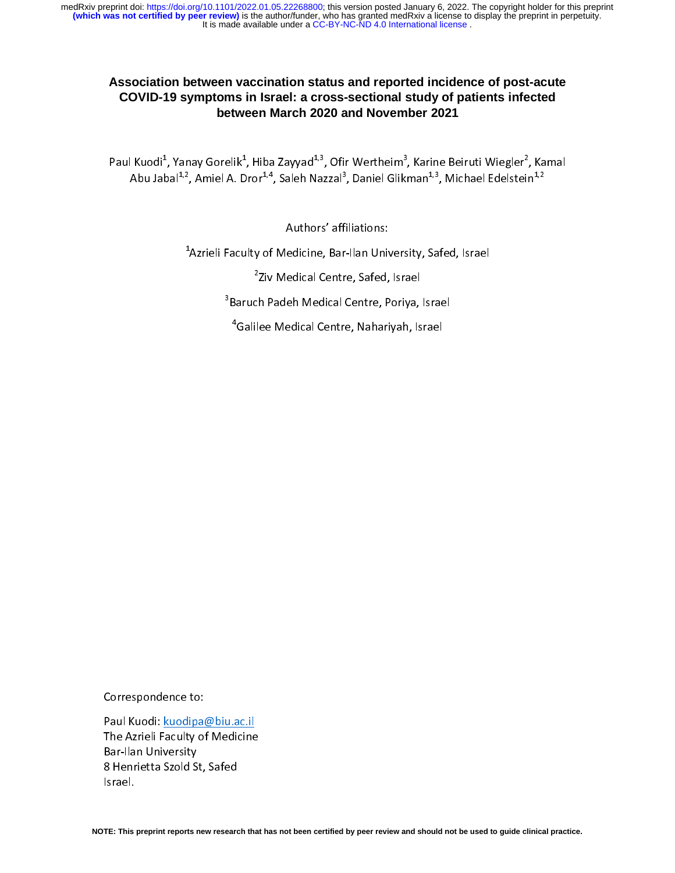# **Association between vaccination status and reported incidence of post-acute COVID-19 symptoms in Israel: a cross-sectional study of patients infected between March 2020 and November 2021**

Paul Kuodi<sup>+</sup>, Yanay Gorelik<sup>+</sup>, Hiba Zayyad<sup>49</sup>, Ofir Wertheim3, Karine Beiruti Wiegler<sup>4</sup>, Kamal<br>1<sup>3</sup>, 2001, 2003, 2004, 2005, 2007, 2008, 2008, 2008, 2008, 2008, 2008, 2008, 2008, 2008, 2008, 2008, 2008, 20 Abu Jabal<sup>4,4</sup>, Amiel A. Dror<sup>4,4</sup>, Saleh Nazzal<sup>9</sup>, Daniel Glikman<sup>4,9</sup>, Michael Edelstein<sup>4,2</sup>

Authors' affiliations:

1 Azrieli Faculty of Medicine, Bar-Ilan University, Safed, Israel

2 Ziv Medical Centre, Safed, Israel

3 Baruch Padeh Medical Centre, Poriya, Israel

4 Galilee Medical Centre, Nahariyah, Israel

Correspondence to:

rau Kuodi: <u>kuodipa@biu.ac.ii</u><br>The Assisti Fesultu of Medicine The Azrieli Faculty of Medicine Bar-Ilan University 8 Henrietta Szold St, Safed Israel.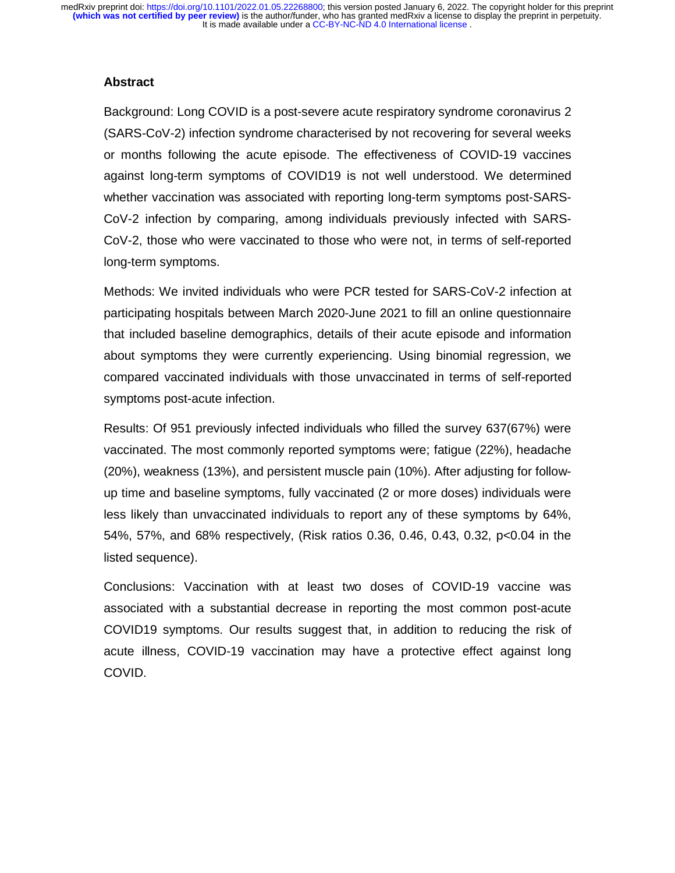## **Abstract**

 Background: Long COVID is a post-severe acute respiratory syndrome coronavirus 2 (SARS-CoV-2) infection syndrome characterised by not recovering for several weeks or months following the acute episode. The effectiveness of COVID-19 vaccines against long-term symptoms of COVID19 is not well understood. We determined whether vaccination was associated with reporting long-term symptoms post-SARS-CoV-2 infection by comparing, among individuals previously infected with SARS-CoV-2, those who were vaccinated to those who were not, in terms of self-reported long-term symptoms.

Methods: We invited individuals who were PCR tested for SARS-CoV-2 infection at participating hospitals between March 2020-June 2021 to fill an online questionnaire that included baseline demographics, details of their acute episode and information about symptoms they were currently experiencing. Using binomial regression, we compared vaccinated individuals with those unvaccinated in terms of self-reported symptoms post-acute infection.

Results: Of 951 previously infected individuals who filled the survey 637(67%) were vaccinated. The most commonly reported symptoms were; fatigue (22%), headache (20%), weakness (13%), and persistent muscle pain (10%). After adjusting for followup time and baseline symptoms, fully vaccinated (2 or more doses) individuals were less likely than unvaccinated individuals to report any of these symptoms by 64%, 54%, 57%, and 68% respectively, (Risk ratios 0.36, 0.46, 0.43, 0.32, p<0.04 in the listed sequence).

Conclusions: Vaccination with at least two doses of COVID-19 vaccine was associated with a substantial decrease in reporting the most common post-acute COVID19 symptoms. Our results suggest that, in addition to reducing the risk of acute illness, COVID-19 vaccination may have a protective effect against long COVID.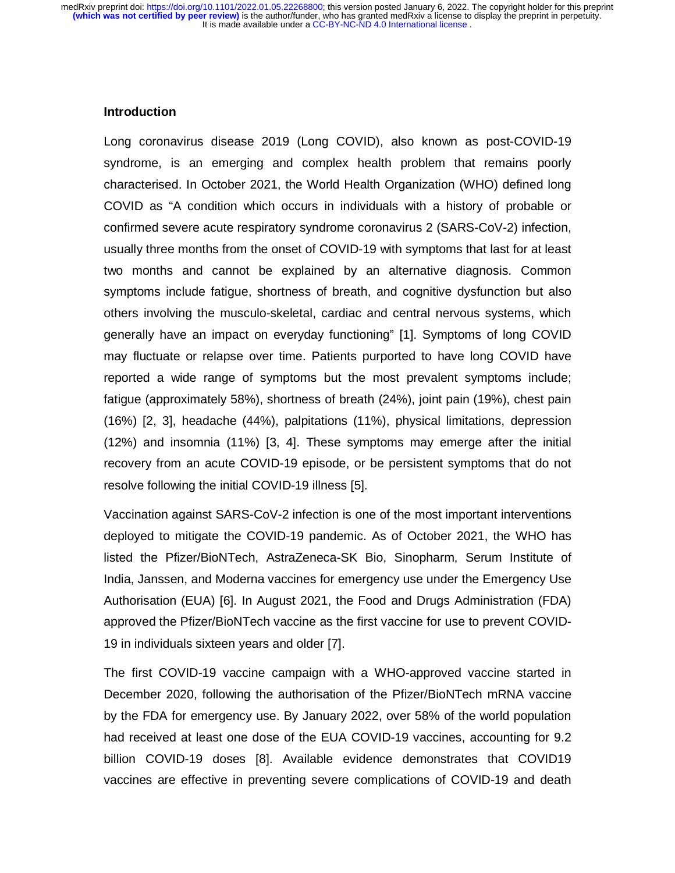#### **Introduction**

Long coronavirus disease 2019 (Long COVID), also known as post-COVID-19 syndrome, is an emerging and complex health problem that remains poorly characterised. In October 2021, the World Health Organization (WHO) defined long COVID as "A condition which occurs in individuals with a history of probable or confirmed severe acute respiratory syndrome coronavirus 2 (SARS-CoV-2) infection, usually three months from the onset of COVID-19 with symptoms that last for at least two months and cannot be explained by an alternative diagnosis. Common symptoms include fatigue, shortness of breath, and cognitive dysfunction but also others involving the musculo-skeletal, cardiac and central nervous systems, which generally have an impact on everyday functioning" [1]. Symptoms of long COVID may fluctuate or relapse over time. Patients purported to have long COVID have reported a wide range of symptoms but the most prevalent symptoms include; fatigue (approximately 58%), shortness of breath (24%), joint pain (19%), chest pain (16%) [2, 3], headache (44%), palpitations (11%), physical limitations, depression (12%) and insomnia (11%) [3, 4]. These symptoms may emerge after the initial recovery from an acute COVID-19 episode, or be persistent symptoms that do not resolve following the initial COVID-19 illness [5].

Vaccination against SARS-CoV-2 infection is one of the most important interventions deployed to mitigate the COVID-19 pandemic. As of October 2021, the WHO has listed the Pfizer/BioNTech, AstraZeneca-SK Bio, Sinopharm, Serum Institute of India, Janssen, and Moderna vaccines for emergency use under the Emergency Use Authorisation (EUA) [6]. In August 2021, the Food and Drugs Administration (FDA) approved the Pfizer/BioNTech vaccine as the first vaccine for use to prevent COVID-19 in individuals sixteen years and older [7].

The first COVID-19 vaccine campaign with a WHO-approved vaccine started in December 2020, following the authorisation of the Pfizer/BioNTech mRNA vaccine by the FDA for emergency use. By January 2022, over 58% of the world population had received at least one dose of the EUA COVID-19 vaccines, accounting for 9.2 billion COVID-19 doses [8]. Available evidence demonstrates that COVID19 vaccines are effective in preventing severe complications of COVID-19 and death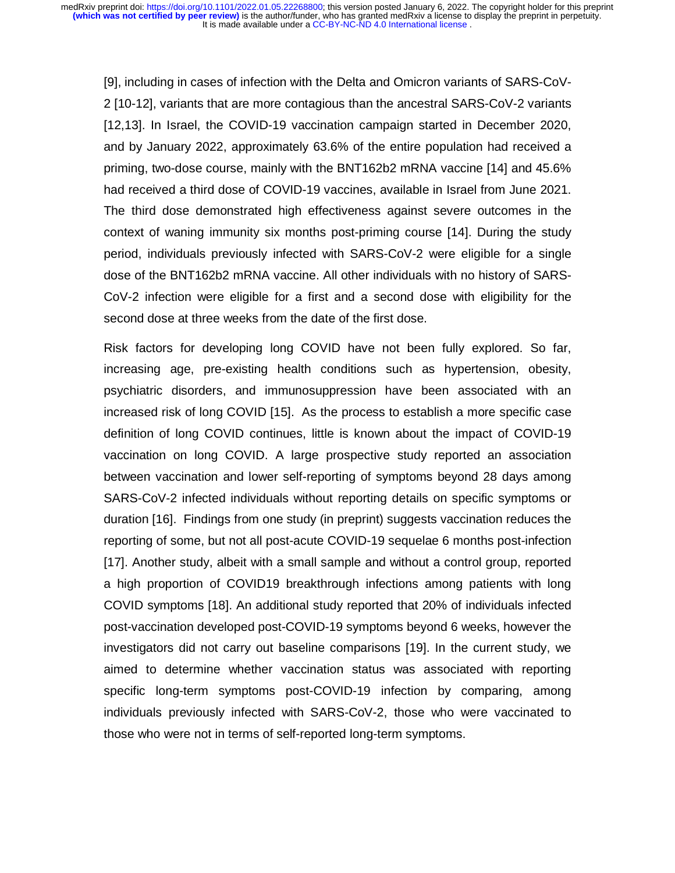[9], including in cases of infection with the Delta and Omicron variants of SARS-CoV-2 [10-12], variants that are more contagious than the ancestral SARS-CoV-2 variants [12,13]. In Israel, the COVID-19 vaccination campaign started in December 2020, and by January 2022, approximately 63.6% of the entire population had received a priming, two-dose course, mainly with the BNT162b2 mRNA vaccine [14] and 45.6% had received a third dose of COVID-19 vaccines, available in Israel from June 2021. The third dose demonstrated high effectiveness against severe outcomes in the context of waning immunity six months post-priming course [14]. During the study period, individuals previously infected with SARS-CoV-2 were eligible for a single dose of the BNT162b2 mRNA vaccine. All other individuals with no history of SARS-CoV-2 infection were eligible for a first and a second dose with eligibility for the second dose at three weeks from the date of the first dose.

Risk factors for developing long COVID have not been fully explored. So far, increasing age, pre-existing health conditions such as hypertension, obesity, psychiatric disorders, and immunosuppression have been associated with an increased risk of long COVID [15]. As the process to establish a more specific case definition of long COVID continues, little is known about the impact of COVID-19 vaccination on long COVID. A large prospective study reported an association between vaccination and lower self-reporting of symptoms beyond 28 days among SARS-CoV-2 infected individuals without reporting details on specific symptoms or duration [16]. Findings from one study (in preprint) suggests vaccination reduces the reporting of some, but not all post-acute COVID-19 sequelae 6 months post-infection [17]. Another study, albeit with a small sample and without a control group, reported a high proportion of COVID19 breakthrough infections among patients with long COVID symptoms [18]. An additional study reported that 20% of individuals infected post-vaccination developed post-COVID-19 symptoms beyond 6 weeks, however the investigators did not carry out baseline comparisons [19]. In the current study, we aimed to determine whether vaccination status was associated with reporting specific long-term symptoms post-COVID-19 infection by comparing, among individuals previously infected with SARS-CoV-2, those who were vaccinated to those who were not in terms of self-reported long-term symptoms.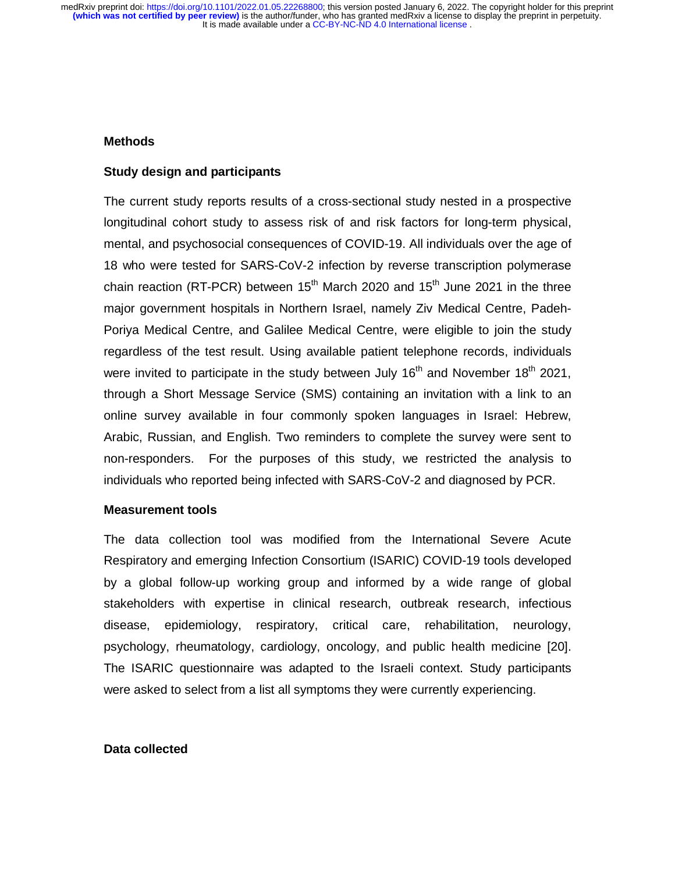#### **Methods**

#### **Study design and participants**

The current study reports results of a cross-sectional study nested in a prospective longitudinal cohort study to assess risk of and risk factors for long-term physical, mental, and psychosocial consequences of COVID-19. All individuals over the age of 18 who were tested for SARS-CoV-2 infection by reverse transcription polymerase chain reaction (RT-PCR) between 15<sup>th</sup> March 2020 and 15<sup>th</sup> June 2021 in the three major government hospitals in Northern Israel, namely Ziv Medical Centre, Padeh-Poriya Medical Centre, and Galilee Medical Centre, were eligible to join the study regardless of the test result. Using available patient telephone records, individuals were invited to participate in the study between July  $16<sup>th</sup>$  and November  $18<sup>th</sup>$  2021, through a Short Message Service (SMS) containing an invitation with a link to an online survey available in four commonly spoken languages in Israel: Hebrew, Arabic, Russian, and English. Two reminders to complete the survey were sent to non-responders. For the purposes of this study, we restricted the analysis to individuals who reported being infected with SARS-CoV-2 and diagnosed by PCR.

#### **Measurement tools**

The data collection tool was modified from the International Severe Acute Respiratory and emerging Infection Consortium (ISARIC) COVID-19 tools developed by a global follow-up working group and informed by a wide range of global stakeholders with expertise in clinical research, outbreak research, infectious disease, epidemiology, respiratory, critical care, rehabilitation, neurology, psychology, rheumatology, cardiology, oncology, and public health medicine [20]. The ISARIC questionnaire was adapted to the Israeli context. Study participants were asked to select from a list all symptoms they were currently experiencing.

#### **Data collected**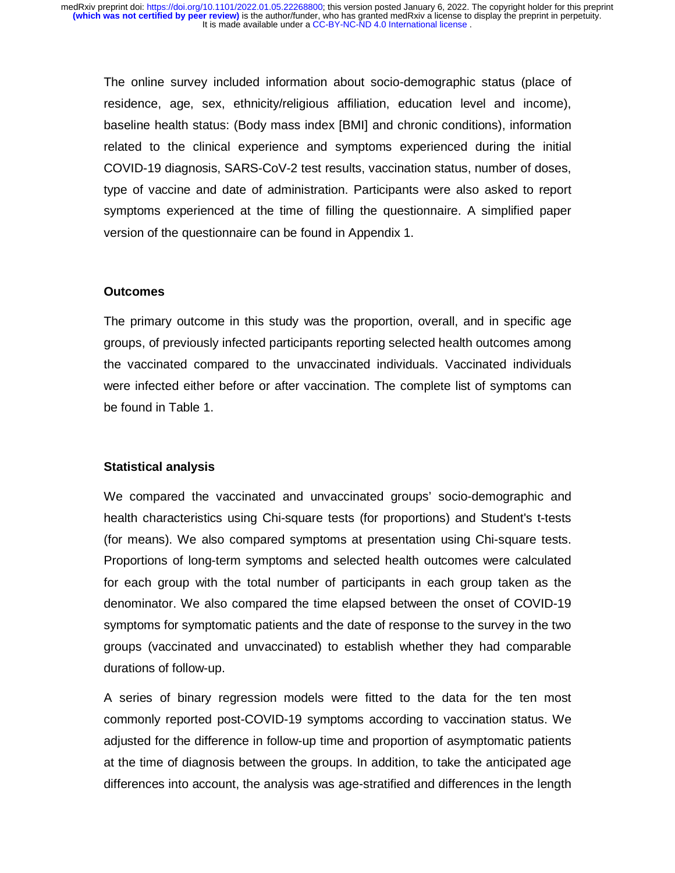The online survey included information about socio-demographic status (place of residence, age, sex, ethnicity/religious affiliation, education level and income), baseline health status: (Body mass index [BMI] and chronic conditions), information related to the clinical experience and symptoms experienced during the initial COVID-19 diagnosis, SARS-CoV-2 test results, vaccination status, number of doses, type of vaccine and date of administration. Participants were also asked to report symptoms experienced at the time of filling the questionnaire. A simplified paper version of the questionnaire can be found in Appendix 1.

#### **Outcomes**

The primary outcome in this study was the proportion, overall, and in specific age groups, of previously infected participants reporting selected health outcomes among the vaccinated compared to the unvaccinated individuals. Vaccinated individuals were infected either before or after vaccination. The complete list of symptoms can be found in Table 1.

#### **Statistical analysis**

We compared the vaccinated and unvaccinated groups' socio-demographic and health characteristics using Chi-square tests (for proportions) and Student's t-tests (for means). We also compared symptoms at presentation using Chi-square tests. Proportions of long-term symptoms and selected health outcomes were calculated for each group with the total number of participants in each group taken as the denominator. We also compared the time elapsed between the onset of COVID-19 symptoms for symptomatic patients and the date of response to the survey in the two groups (vaccinated and unvaccinated) to establish whether they had comparable durations of follow-up.

A series of binary regression models were fitted to the data for the ten most commonly reported post-COVID-19 symptoms according to vaccination status. We adjusted for the difference in follow-up time and proportion of asymptomatic patients at the time of diagnosis between the groups. In addition, to take the anticipated age differences into account, the analysis was age-stratified and differences in the length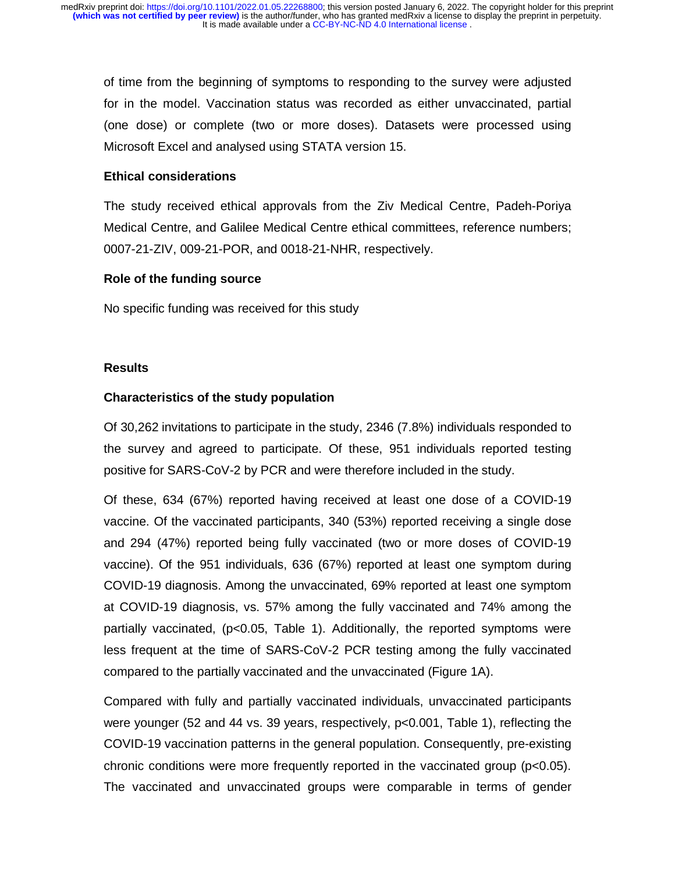of time from the beginning of symptoms to responding to the survey were adjusted for in the model. Vaccination status was recorded as either unvaccinated, partial (one dose) or complete (two or more doses). Datasets were processed using Microsoft Excel and analysed using STATA version 15.

## **Ethical considerations**

The study received ethical approvals from the Ziv Medical Centre, Padeh-Poriya Medical Centre, and Galilee Medical Centre ethical committees, reference numbers; 0007-21-ZIV, 009-21-POR, and 0018-21-NHR, respectively.

### **Role of the funding source**

No specific funding was received for this study

### **Results**

## **Characteristics of the study population**

Of 30,262 invitations to participate in the study, 2346 (7.8%) individuals responded to the survey and agreed to participate. Of these, 951 individuals reported testing positive for SARS-CoV-2 by PCR and were therefore included in the study.

Of these, 634 (67%) reported having received at least one dose of a COVID-19 vaccine. Of the vaccinated participants, 340 (53%) reported receiving a single dose and 294 (47%) reported being fully vaccinated (two or more doses of COVID-19 vaccine). Of the 951 individuals, 636 (67%) reported at least one symptom during COVID-19 diagnosis. Among the unvaccinated, 69% reported at least one symptom at COVID-19 diagnosis, vs. 57% among the fully vaccinated and 74% among the partially vaccinated, (p<0.05, Table 1). Additionally, the reported symptoms were less frequent at the time of SARS-CoV-2 PCR testing among the fully vaccinated compared to the partially vaccinated and the unvaccinated (Figure 1A).

Compared with fully and partially vaccinated individuals, unvaccinated participants were younger (52 and 44 vs. 39 years, respectively, p<0.001, Table 1), reflecting the COVID-19 vaccination patterns in the general population. Consequently, pre-existing chronic conditions were more frequently reported in the vaccinated group (p<0.05). The vaccinated and unvaccinated groups were comparable in terms of gender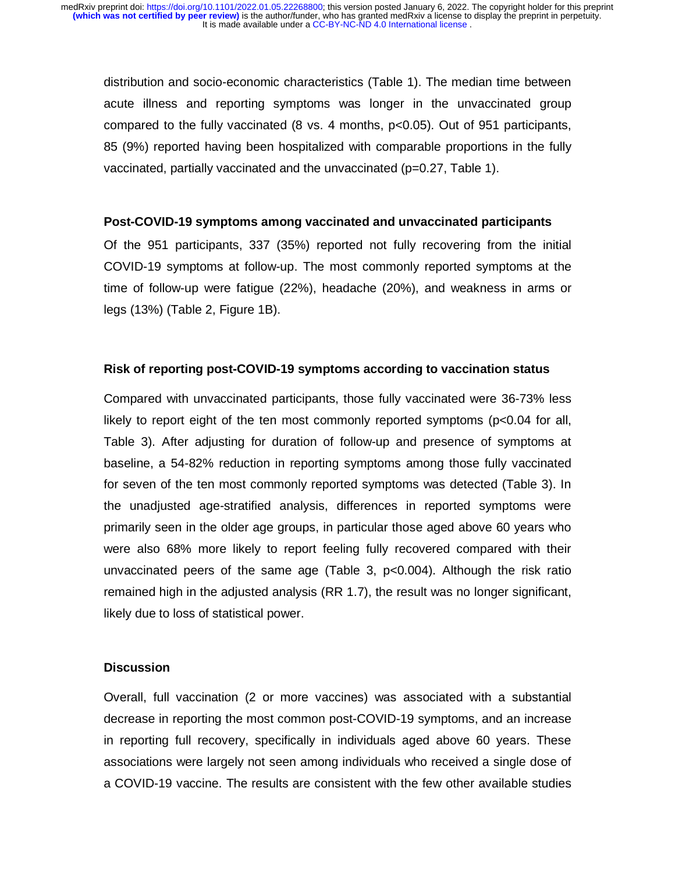distribution and socio-economic characteristics (Table 1). The median time between acute illness and reporting symptoms was longer in the unvaccinated group compared to the fully vaccinated (8 vs. 4 months, p<0.05). Out of 951 participants, 85 (9%) reported having been hospitalized with comparable proportions in the fully vaccinated, partially vaccinated and the unvaccinated  $(p=0.27,$  Table 1).

### **Post-COVID-19 symptoms among vaccinated and unvaccinated participants**

Of the 951 participants, 337 (35%) reported not fully recovering from the initial COVID-19 symptoms at follow-up. The most commonly reported symptoms at the time of follow-up were fatigue (22%), headache (20%), and weakness in arms or legs (13%) (Table 2, Figure 1B).

### **Risk of reporting post-COVID-19 symptoms according to vaccination status**

Compared with unvaccinated participants, those fully vaccinated were 36-73% less likely to report eight of the ten most commonly reported symptoms (p<0.04 for all, Table 3). After adjusting for duration of follow-up and presence of symptoms at baseline, a 54-82% reduction in reporting symptoms among those fully vaccinated for seven of the ten most commonly reported symptoms was detected (Table 3). In the unadjusted age-stratified analysis, differences in reported symptoms were primarily seen in the older age groups, in particular those aged above 60 years who were also 68% more likely to report feeling fully recovered compared with their unvaccinated peers of the same age (Table 3, p<0.004). Although the risk ratio remained high in the adjusted analysis (RR 1.7), the result was no longer significant, likely due to loss of statistical power.

## **Discussion**

Overall, full vaccination (2 or more vaccines) was associated with a substantial decrease in reporting the most common post-COVID-19 symptoms, and an increase in reporting full recovery, specifically in individuals aged above 60 years. These associations were largely not seen among individuals who received a single dose of a COVID-19 vaccine. The results are consistent with the few other available studies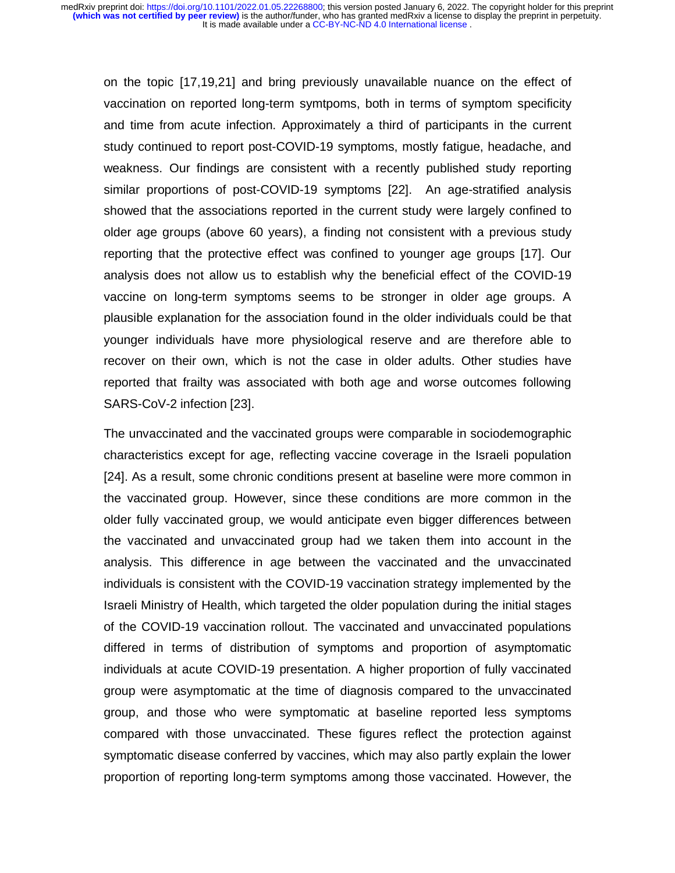on the topic [17,19,21] and bring previously unavailable nuance on the effect of vaccination on reported long-term symtpoms, both in terms of symptom specificity and time from acute infection. Approximately a third of participants in the current study continued to report post-COVID-19 symptoms, mostly fatigue, headache, and weakness. Our findings are consistent with a recently published study reporting similar proportions of post-COVID-19 symptoms [22]. An age-stratified analysis showed that the associations reported in the current study were largely confined to older age groups (above 60 years), a finding not consistent with a previous study reporting that the protective effect was confined to younger age groups [17]. Our analysis does not allow us to establish why the beneficial effect of the COVID-19 vaccine on long-term symptoms seems to be stronger in older age groups. A plausible explanation for the association found in the older individuals could be that younger individuals have more physiological reserve and are therefore able to recover on their own, which is not the case in older adults. Other studies have reported that frailty was associated with both age and worse outcomes following SARS-CoV-2 infection [23].

The unvaccinated and the vaccinated groups were comparable in sociodemographic characteristics except for age, reflecting vaccine coverage in the Israeli population [24]. As a result, some chronic conditions present at baseline were more common in the vaccinated group. However, since these conditions are more common in the older fully vaccinated group, we would anticipate even bigger differences between the vaccinated and unvaccinated group had we taken them into account in the analysis. This difference in age between the vaccinated and the unvaccinated individuals is consistent with the COVID-19 vaccination strategy implemented by the Israeli Ministry of Health, which targeted the older population during the initial stages of the COVID-19 vaccination rollout. The vaccinated and unvaccinated populations differed in terms of distribution of symptoms and proportion of asymptomatic individuals at acute COVID-19 presentation. A higher proportion of fully vaccinated group were asymptomatic at the time of diagnosis compared to the unvaccinated group, and those who were symptomatic at baseline reported less symptoms compared with those unvaccinated. These figures reflect the protection against symptomatic disease conferred by vaccines, which may also partly explain the lower proportion of reporting long-term symptoms among those vaccinated. However, the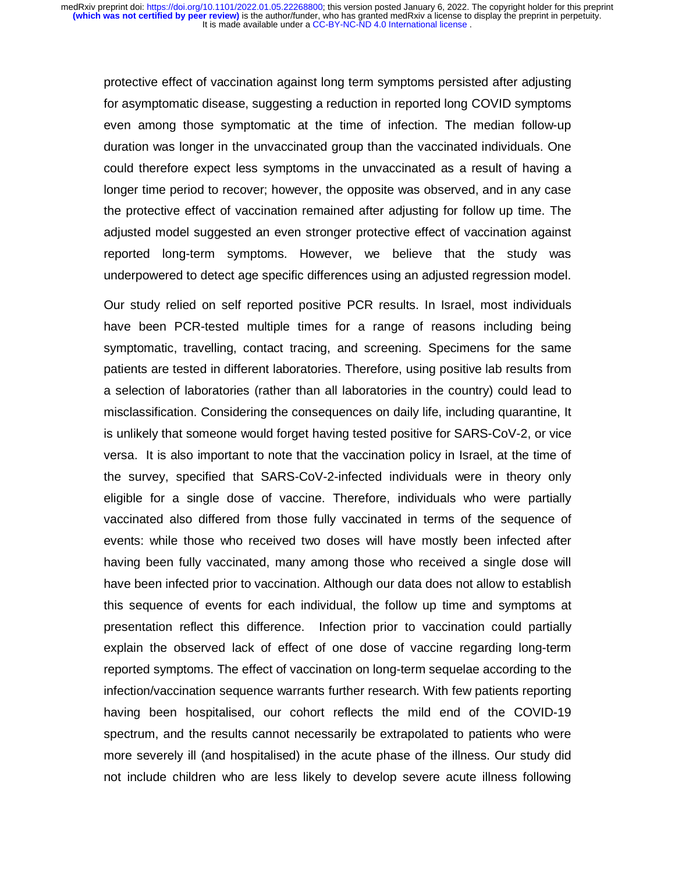protective effect of vaccination against long term symptoms persisted after adjusting for asymptomatic disease, suggesting a reduction in reported long COVID symptoms even among those symptomatic at the time of infection. The median follow-up duration was longer in the unvaccinated group than the vaccinated individuals. One could therefore expect less symptoms in the unvaccinated as a result of having a longer time period to recover; however, the opposite was observed, and in any case the protective effect of vaccination remained after adjusting for follow up time. The adjusted model suggested an even stronger protective effect of vaccination against reported long-term symptoms. However, we believe that the study was underpowered to detect age specific differences using an adjusted regression model.

Our study relied on self reported positive PCR results. In Israel, most individuals have been PCR-tested multiple times for a range of reasons including being symptomatic, travelling, contact tracing, and screening. Specimens for the same patients are tested in different laboratories. Therefore, using positive lab results from a selection of laboratories (rather than all laboratories in the country) could lead to misclassification. Considering the consequences on daily life, including quarantine, It is unlikely that someone would forget having tested positive for SARS-CoV-2, or vice versa. It is also important to note that the vaccination policy in Israel, at the time of the survey, specified that SARS-CoV-2-infected individuals were in theory only eligible for a single dose of vaccine. Therefore, individuals who were partially vaccinated also differed from those fully vaccinated in terms of the sequence of events: while those who received two doses will have mostly been infected after having been fully vaccinated, many among those who received a single dose will have been infected prior to vaccination. Although our data does not allow to establish this sequence of events for each individual, the follow up time and symptoms at presentation reflect this difference. Infection prior to vaccination could partially explain the observed lack of effect of one dose of vaccine regarding long-term reported symptoms. The effect of vaccination on long-term sequelae according to the infection/vaccination sequence warrants further research. With few patients reporting having been hospitalised, our cohort reflects the mild end of the COVID-19 spectrum, and the results cannot necessarily be extrapolated to patients who were more severely ill (and hospitalised) in the acute phase of the illness. Our study did not include children who are less likely to develop severe acute illness following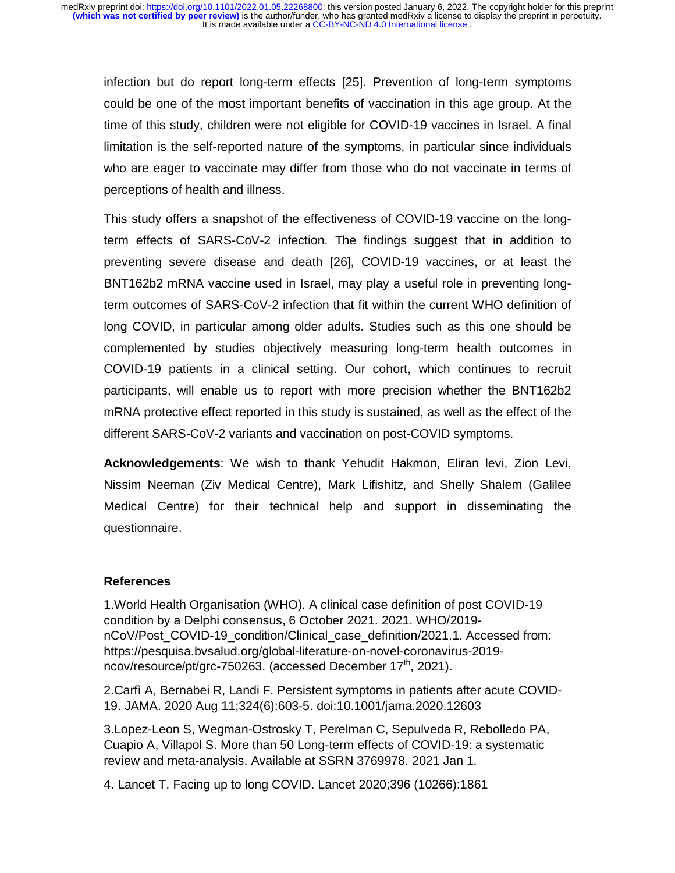infection but do report long-term effects [25]. Prevention of long-term symptoms could be one of the most important benefits of vaccination in this age group. At the time of this study, children were not eligible for COVID-19 vaccines in Israel. A final limitation is the self-reported nature of the symptoms, in particular since individuals who are eager to vaccinate may differ from those who do not vaccinate in terms of perceptions of health and illness.

This study offers a snapshot of the effectiveness of COVID-19 vaccine on the longterm effects of SARS-CoV-2 infection. The findings suggest that in addition to preventing severe disease and death [26], COVID-19 vaccines, or at least the BNT162b2 mRNA vaccine used in Israel, may play a useful role in preventing longterm outcomes of SARS-CoV-2 infection that fit within the current WHO definition of long COVID, in particular among older adults. Studies such as this one should be complemented by studies objectively measuring long-term health outcomes in COVID-19 patients in a clinical setting. Our cohort, which continues to recruit participants, will enable us to report with more precision whether the BNT162b2 mRNA protective effect reported in this study is sustained, as well as the effect of the different SARS-CoV-2 variants and vaccination on post-COVID symptoms.

**Acknowledgements**: We wish to thank Yehudit Hakmon, Eliran levi, Zion Levi, Nissim Neeman (Ziv Medical Centre), Mark Lifishitz, and Shelly Shalem (Galilee Medical Centre) for their technical help and support in disseminating the questionnaire.

## **References**

1.World Health Organisation (WHO). A clinical case definition of post COVID-19 condition by a Delphi consensus, 6 October 2021. 2021. WHO/2019 nCoV/Post\_COVID-19\_condition/Clinical\_case\_definition/2021.1. Accessed from: https://pesquisa.bvsalud.org/global-literature-on-novel-coronavirus-2019 ncov/resource/pt/grc-750263. (accessed December 17<sup>th</sup>, 2021).

2.Carfì A, Bernabei R, Landi F. Persistent symptoms in patients after acute COVID-19. JAMA. 2020 Aug 11;324(6):603-5. doi:10.1001/jama.2020.12603

3.Lopez-Leon S, Wegman-Ostrosky T, Perelman C, Sepulveda R, Rebolledo PA, Cuapio A, Villapol S. More than 50 Long-term effects of COVID-19: a systematic review and meta-analysis. Available at SSRN 3769978. 2021 Jan 1.

4. Lancet T. Facing up to long COVID. Lancet 2020;396 (10266):1861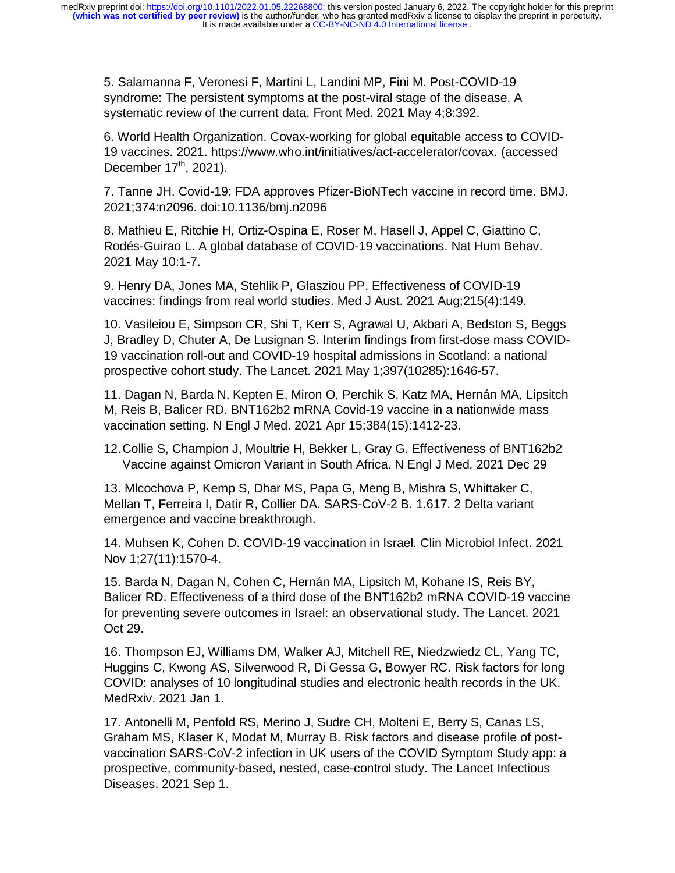5. Salamanna F, Veronesi F, Martini L, Landini MP, Fini M. Post-COVID-19 syndrome: The persistent symptoms at the post-viral stage of the disease. A systematic review of the current data. Front Med. 2021 May 4;8:392.

6. World Health Organization. Covax-working for global equitable access to COVID-19 vaccines. 2021. https://www.who.int/initiatives/act-accelerator/covax. (accessed December  $17<sup>th</sup>$ , 2021).

7. Tanne JH. Covid-19: FDA approves Pfizer-BioNTech vaccine in record time. BMJ. 2021;374:n2096. doi:10.1136/bmj.n2096

8. Mathieu E, Ritchie H, Ortiz-Ospina E, Roser M, Hasell J, Appel C, Giattino C, Rodés-Guirao L. A global database of COVID-19 vaccinations. Nat Hum Behav. 2021 May 10:1-7.

9. Henry DA, Jones MA, Stehlik P, Glasziou PP. Effectiveness of COVID่ 19<br>149<br><sub>วท</sub> S vaccines: findings from real world studies. Med J Aust. 2021 Aug;215(4):149.

10. Vasileiou E, Simpson CR, Shi T, Kerr S, Agrawal U, Akbari A, Bedston S, Beggs J, Bradley D, Chuter A, De Lusignan S. Interim findings from first-dose mass COVID-19 vaccination roll-out and COVID-19 hospital admissions in Scotland: a national prospective cohort study. The Lancet. 2021 May 1;397(10285):1646-57.

11. Dagan N, Barda N, Kepten E, Miron O, Perchik S, Katz MA, Hernán MA, Lipsitch M, Reis B, Balicer RD. BNT162b2 mRNA Covid-19 vaccine in a nationwide mass vaccination setting. N Engl J Med. 2021 Apr 15;384(15):1412-23.

12. Collie S, Champion J, Moultrie H, Bekker L, Gray G. Effectiveness of BNT162b2 Vaccine against Omicron Variant in South Africa. N Engl J Med. 2021 Dec 29

13. Mlcochova P, Kemp S, Dhar MS, Papa G, Meng B, Mishra S, Whittaker C, Mellan T, Ferreira I, Datir R, Collier DA. SARS-CoV-2 B. 1.617. 2 Delta variant emergence and vaccine breakthrough.

14. Muhsen K, Cohen D. COVID-19 vaccination in Israel. Clin Microbiol Infect. 2021 Nov 1;27(11):1570-4.

15. Barda N, Dagan N, Cohen C, Hernán MA, Lipsitch M, Kohane IS, Reis BY, Balicer RD. Effectiveness of a third dose of the BNT162b2 mRNA COVID-19 vaccine for preventing severe outcomes in Israel: an observational study. The Lancet. 2021 Oct 29.

16. Thompson EJ, Williams DM, Walker AJ, Mitchell RE, Niedzwiedz CL, Yang TC, Huggins C, Kwong AS, Silverwood R, Di Gessa G, Bowyer RC. Risk factors for long COVID: analyses of 10 longitudinal studies and electronic health records in the UK. MedRxiv. 2021 Jan 1.

17. Antonelli M, Penfold RS, Merino J, Sudre CH, Molteni E, Berry S, Canas LS, Graham MS, Klaser K, Modat M, Murray B. Risk factors and disease profile of postvaccination SARS-CoV-2 infection in UK users of the COVID Symptom Study app: a prospective, community-based, nested, case-control study. The Lancet Infectious Diseases. 2021 Sep 1.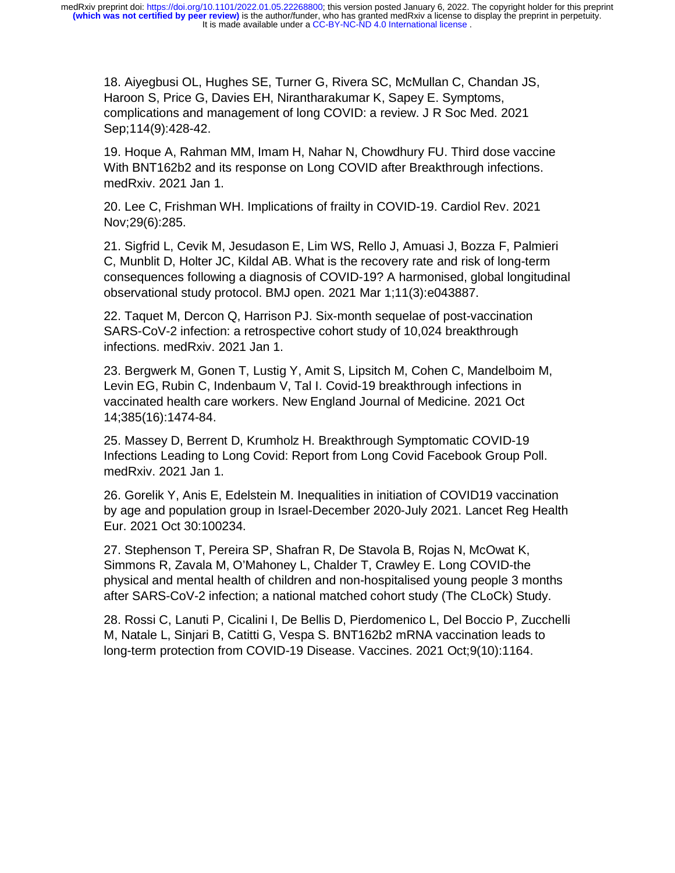It is made available under a [CC-BY-NC-ND 4.0 International license](http://creativecommons.org/licenses/by-nc-nd/4.0/) . **(which was not certified by peer review)** is the author/funder, who has granted medRxiv a license to display the preprint in perpetuity. medRxiv preprint doi: [https://doi.org/10.1101/2022.01.05.22268800;](https://doi.org/10.1101/2022.01.05.22268800) this version posted January 6, 2022. The copyright holder for this preprint

18. Aiyegbusi OL, Hughes SE, Turner G, Rivera SC, McMullan C, Chandan JS, Haroon S, Price G, Davies EH, Nirantharakumar K, Sapey E. Symptoms, complications and management of long COVID: a review. J R Soc Med. 2021 Sep;114(9):428-42.

19. Hoque A, Rahman MM, Imam H, Nahar N, Chowdhury FU. Third dose vaccine With BNT162b2 and its response on Long COVID after Breakthrough infections. medRxiv. 2021 Jan 1.

20. Lee C, Frishman WH. Implications of frailty in COVID-19. Cardiol Rev. 2021 Nov;29(6):285.

21. Sigfrid L, Cevik M, Jesudason E, Lim WS, Rello J, Amuasi J, Bozza F, Palmieri C, Munblit D, Holter JC, Kildal AB. What is the recovery rate and risk of long-term consequences following a diagnosis of COVID-19? A harmonised, global longitudinal observational study protocol. BMJ open. 2021 Mar 1;11(3):e043887.

22. Taquet M, Dercon Q, Harrison PJ. Six-month sequelae of post-vaccination SARS-CoV-2 infection: a retrospective cohort study of 10,024 breakthrough infections. medRxiv. 2021 Jan 1.

23. Bergwerk M, Gonen T, Lustig Y, Amit S, Lipsitch M, Cohen C, Mandelboim M, Levin EG, Rubin C, Indenbaum V, Tal I. Covid-19 breakthrough infections in vaccinated health care workers. New England Journal of Medicine. 2021 Oct 14;385(16):1474-84.

25. Massey D, Berrent D, Krumholz H. Breakthrough Symptomatic COVID-19 Infections Leading to Long Covid: Report from Long Covid Facebook Group Poll. medRxiv. 2021 Jan 1.

26. Gorelik Y, Anis E, Edelstein M. Inequalities in initiation of COVID19 vaccination by age and population group in Israel-December 2020-July 2021. Lancet Reg Health Eur. 2021 Oct 30:100234.

27. Stephenson T, Pereira SP, Shafran R, De Stavola B, Rojas N, McOwat K, Simmons R, Zavala M, O'Mahoney L, Chalder T, Crawley E. Long COVID-the physical and mental health of children and non-hospitalised young people 3 months after SARS-CoV-2 infection; a national matched cohort study (The CLoCk) Study.

28. Rossi C, Lanuti P, Cicalini I, De Bellis D, Pierdomenico L, Del Boccio P, Zucchelli M, Natale L, Sinjari B, Catitti G, Vespa S. BNT162b2 mRNA vaccination leads to long-term protection from COVID-19 Disease. Vaccines. 2021 Oct;9(10):1164.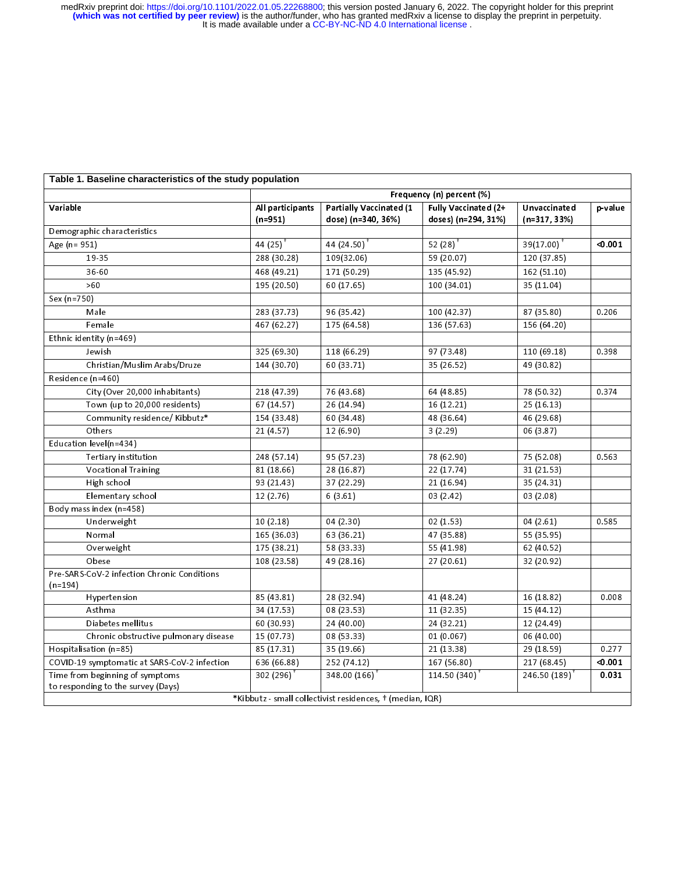#### **Table 1. Baseline characteristics of the study population**

|                                                          | Frequency (n) percent (%) |                                                           |                      |                        |         |  |  |
|----------------------------------------------------------|---------------------------|-----------------------------------------------------------|----------------------|------------------------|---------|--|--|
| Variable                                                 | All participants          | Partially Vaccinated (1                                   | Fully Vaccinated (2+ | Unvaccinated           | p-value |  |  |
|                                                          | $(n=951)$                 | dose) (n=340, 36%)                                        | doses) (n=294, 31%)  | $(n=317, 33%)$         |         |  |  |
| Demographic characteristics                              |                           |                                                           |                      |                        |         |  |  |
| Age (n = 951)                                            | 44 $(25)$ <sup>+</sup>    | 44 (24.50) <sup><math>+</math></sup>                      | 52 $(28)^+$          | 39(17.00) <sup>+</sup> | < 0.001 |  |  |
| 19-35                                                    | 288 (30.28)               | 109(32.06)                                                | 59 (20.07)           | 120 (37.85)            |         |  |  |
| 36-60                                                    | 468 (49.21)               | 171 (50.29)                                               | 135 (45.92)          | 162 (51.10)            |         |  |  |
| >60                                                      | 195 (20.50)               | 60 (17.65)                                                | 100 (34.01)          | 35 (11.04)             |         |  |  |
| Sex (n=750)                                              |                           |                                                           |                      |                        |         |  |  |
| Male                                                     | 283 (37.73)               | 96 (35.42)                                                | 100 (42.37)          | 87 (35.80)             | 0.206   |  |  |
| Female                                                   | 467 (62.27)               | 175 (64.58)                                               | 136 (57.63)          | 156 (64.20)            |         |  |  |
| Ethnic identity (n=469)                                  |                           |                                                           |                      |                        |         |  |  |
| Jewish                                                   | 325 (69.30)               | 118 (66.29)                                               | 97 (73.48)           | 110 (69.18)            | 0.398   |  |  |
| Christian/Muslim Arabs/Druze                             | 144 (30.70)               | 60 (33.71)                                                | 35 (26.52)           | 49 (30.82)             |         |  |  |
| Residence (n=460)                                        |                           |                                                           |                      |                        |         |  |  |
| City (Over 20,000 inhabitants)                           | 218 (47.39)               | 76 (43.68)                                                | 64 (48.85)           | 78 (50.32)             | 0.374   |  |  |
| Town (up to 20,000 residents)                            | 67(14.57)                 | 26 (14.94)                                                | 16 (12.21)           | 25(16.13)              |         |  |  |
| Community residence/ Kibbutz*                            | 154 (33.48)               | 60 (34.48)                                                | 48 (36.64)           | 46 (29.68)             |         |  |  |
| Others                                                   | 21(4.57)                  | 12(6.90)                                                  | 3(2.29)              | 06 (3.87)              |         |  |  |
| Education level(n=434)                                   |                           |                                                           |                      |                        |         |  |  |
| Tertiary institution                                     | 248 (57.14)               | 95 (57.23)                                                | 78 (62.90)           | 75 (52.08)             | 0.563   |  |  |
| <b>Vocational Training</b>                               | 81(18.66)                 | 28 (16.87)                                                | 22 (17.74)           | 31 (21.53)             |         |  |  |
| High school                                              | 93 (21.43)                | 37 (22.29)                                                | 21 (16.94)           | 35 (24.31)             |         |  |  |
| Elementary school                                        | 12(2.76)                  | 6(3.61)                                                   | 03 (2.42)            | 03(2.08)               |         |  |  |
| Body mass index (n=458)                                  |                           |                                                           |                      |                        |         |  |  |
| Underweight                                              | 10(2.18)                  | 04 (2.30)                                                 | 02(1.53)             | 04(2.61)               | 0.585   |  |  |
| Normal                                                   | 165 (36.03)               | 63 (36.21)                                                | 47 (35.88)           | 55 (35.95)             |         |  |  |
| Overweight                                               | 175 (38.21)               | 58 (33.33)                                                | 55 (41.98)           | 62 (40.52)             |         |  |  |
| Obese                                                    | 108 (23.58)               | 49 (28.16)                                                | 27 (20.61)           | 32 (20.92)             |         |  |  |
| Pre-SARS-CoV-2 infection Chronic Conditions<br>$(n=194)$ |                           |                                                           |                      |                        |         |  |  |
| Hypertension                                             | 85 (43.81)                | 28 (32.94)                                                | 41 (48.24)           | 16 (18.82)             | 0.008   |  |  |
| Asthma                                                   | 34 (17.53)                | 08 (23.53)                                                | 11 (32.35)           | 15 (44.12)             |         |  |  |
| Diabetes mellitus                                        | 60 (30.93)                | 24 (40.00)                                                | 24 (32.21)           | 12 (24.49)             |         |  |  |
| Chronic obstructive pulmonary disease                    | 15 (07.73)                | 08 (53.33)                                                | 01 (0.067)           | 06 (40.00)             |         |  |  |
| Hospitalisation (n=85)                                   | 85 (17.31)                | 35 (19.66)                                                | 21 (13.38)           | 29 (18.59)             | 0.277   |  |  |
| COVID-19 symptomatic at SARS-CoV-2 infection             | 636 (66.88)               | 252 (74.12)                                               | 167 (56.80)          | 217 (68.45)            | < 0.001 |  |  |
| Time from beginning of symptoms                          | $302(296)$ <sup>+</sup>   | 348.00 (166)                                              | 114.50 (340)         | 246.50 (189)           | 0.031   |  |  |
| to responding to the survey (Days)                       |                           |                                                           |                      |                        |         |  |  |
|                                                          |                           | *Kibbutz - small collectivist residences, † (median, IQR) |                      |                        |         |  |  |
|                                                          |                           |                                                           |                      |                        |         |  |  |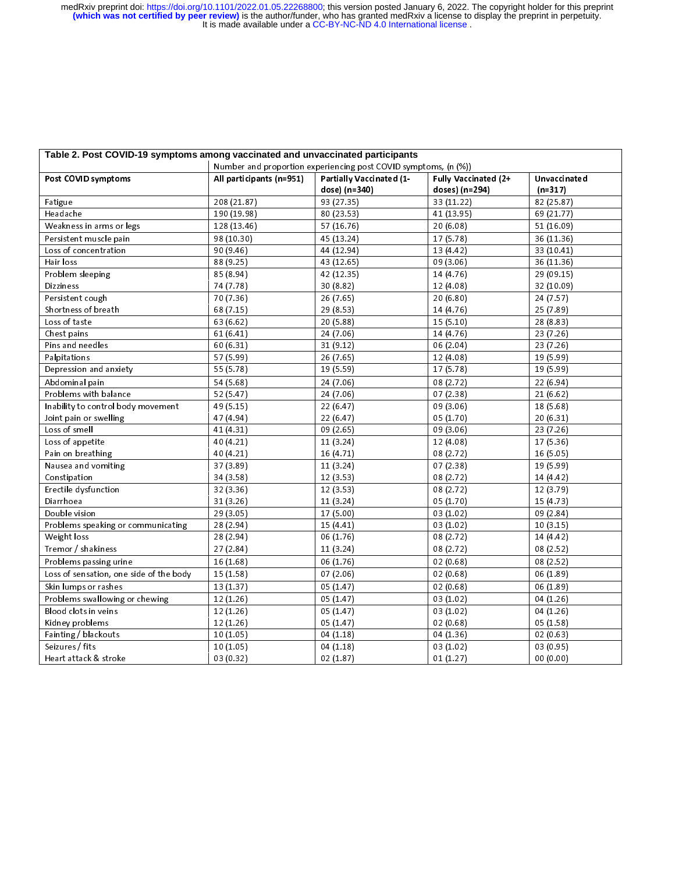| Post COVID symptoms                     |                          | Table 2. Post COVID-19 symptoms among vaccinated and unvaccinated participants |                                        |                           |  |  |
|-----------------------------------------|--------------------------|--------------------------------------------------------------------------------|----------------------------------------|---------------------------|--|--|
|                                         |                          | Number and proportion experiencing post COVID symptoms, (n (%))                |                                        |                           |  |  |
|                                         | All participants (n=951) | Partially Vaccinated (1-<br>dose) (n=340)                                      | Fully Vaccinated (2+<br>doses) (n=294) | Unvaccinated<br>$(n=317)$ |  |  |
| Fatigue                                 | 208 (21.87)              | 93 (27.35)                                                                     | 33 (11.22)                             | 82 (25.87)                |  |  |
| Headache                                | 190 (19.98)              | 80 (23.53)                                                                     | 41 (13.95)                             | 69 (21.77)                |  |  |
| Weakness in arms or legs                | 128 (13.46)              | 57 (16.76)                                                                     | 20(6.08)                               | 51 (16.09)                |  |  |
| Persistent muscle pain                  | 98 (10.30)               | 45 (13.24)                                                                     | 17(5.78)                               | 36 (11.36)                |  |  |
| Loss of concentration                   | 90 (9.46)                | 44 (12.94)                                                                     | 13 (4.42)                              | 33 (10.41)                |  |  |
| Hair loss                               | 88 (9.25)                | 43 (12.65)                                                                     | 09(3.06)                               | 36 (11.36)                |  |  |
| Problem sleeping                        | 85 (8.94)                | 42 (12.35)                                                                     | 14 (4.76)                              | 29 (09.15)                |  |  |
| <b>Dizziness</b>                        | 74 (7.78)                | 30(8.82)                                                                       | 12 (4.08)                              | 32 (10.09)                |  |  |
| Persistent cough                        | 70 (7.36)                | 26(7.65)                                                                       | 20 (6.80)                              | 24 (7.57)                 |  |  |
| Shortness of breath                     | 68 (7.15)                | 29(8.53)                                                                       | 14 (4.76)                              | 25 (7.89)                 |  |  |
| Loss of taste                           | 63 (6.62)                | 20 (5.88)                                                                      | 15(5.10)                               | 28 (8.83)                 |  |  |
| Chest pains                             | 61(6.41)                 | 24 (7.06)                                                                      | 14 (4.76)                              | 23(7.26)                  |  |  |
| Pins and needles                        | 60(6.31)                 | 31(9.12)                                                                       | 06(2.04)                               | 23(7.26)                  |  |  |
| Palpitations                            | 57 (5.99)                | 26 (7.65)                                                                      | 12 (4.08)                              | 19 (5.99)                 |  |  |
| Depression and anxiety                  | 55 (5.78)                | 19 (5.59)                                                                      | 17 (5.78)                              | 19 (5.99)                 |  |  |
| Abdominal pain                          | 54 (5.68)                | 24 (7.06)                                                                      | 08 (2.72)                              | 22(6.94)                  |  |  |
| Problems with balance                   | 52(5.47)                 | 24 (7.06)                                                                      | 07(2.38)                               | 21(6.62)                  |  |  |
| Inability to control body movement      | 49 (5.15)                | 22(6.47)                                                                       | 09 (3.06)                              | 18 (5.68)                 |  |  |
| Joint pain or swelling                  | 47 (4.94)                | 22(6.47)                                                                       | 05 (1.70)                              | 20(6.31)                  |  |  |
| Loss of smell                           | 41 (4.31)                | 09(2.65)                                                                       | 09 (3.06)                              | 23 (7.26)                 |  |  |
| Loss of appetite                        | 40(4.21)                 | 11(3.24)                                                                       | 12(4.08)                               | 17 (5.36)                 |  |  |
| Pain on breathing                       | 40 (4.21)                | 16 (4.71)                                                                      | 08 (2.72)                              | 16 (5.05)                 |  |  |
| Nausea and vomiting                     | 37 (3.89)                | 11(3.24)                                                                       | 07(2.38)                               | 19 (5.99)                 |  |  |
| Constipation                            | 34 (3.58)                | 12(3.53)                                                                       | 08 (2.72)                              | 14 (4.42)                 |  |  |
| Erectile dysfunction                    | 32 (3.36)                | 12(3.53)                                                                       | 08 (2.72)                              | 12 (3.79)                 |  |  |
| Diarrhoea                               | 31(3.26)                 | 11(3.24)                                                                       | 05 (1.70)                              | 15 (4.73)                 |  |  |
| Double vision                           | 29 (3.05)                | 17(5.00)                                                                       | 03(1.02)                               | 09 (2.84)                 |  |  |
| Problems speaking or communicating      | 28 (2.94)                | 15(4.41)                                                                       | 03(1.02)                               | 10(3.15)                  |  |  |
| Weight loss                             | 28 (2.94)                | 06(1.76)                                                                       | 08 (2.72)                              | 14 (4.42)                 |  |  |
| Tremor / shakiness                      | 27 (2.84)                | 11(3.24)                                                                       | 08 (2.72)                              | 08 (2.52)                 |  |  |
| Problems passing urine                  | 16(1.68)                 | 06(1.76)                                                                       | 02(0.68)                               | 08(2.52)                  |  |  |
| Loss of sensation, one side of the body | 15(1.58)                 | 07(2.06)                                                                       | 02(0.68)                               | 06 (1.89)                 |  |  |
| Skin lumps or rashes                    | 13(1.37)                 | 05(1.47)                                                                       | 02(0.68)                               | 06 (1.89)                 |  |  |
| Problems swallowing or chewing          | 12(1.26)                 | 05(1.47)                                                                       | 03(1.02)                               | 04 (1.26)                 |  |  |
| Blood clots in veins                    | 12(1.26)                 | 05(1.47)                                                                       | 03(1.02)                               | 04 (1.26)                 |  |  |
| Kidney problems                         | 12(1.26)                 | 05(1.47)                                                                       | 02(0.68)                               | 05(1.58)                  |  |  |
| Fainting / blackouts                    | 10(1.05)                 | 04(1.18)                                                                       | 04 (1.36)                              | 02(0.63)                  |  |  |
| Seizures / fits                         | 10(1.05)                 | 04(1.18)                                                                       | 03 (1.02)                              | 03 (0.95)                 |  |  |
|                                         | 03 (0.32)                | 02(1.87)                                                                       | 01(1.27)                               | 00(0.00)                  |  |  |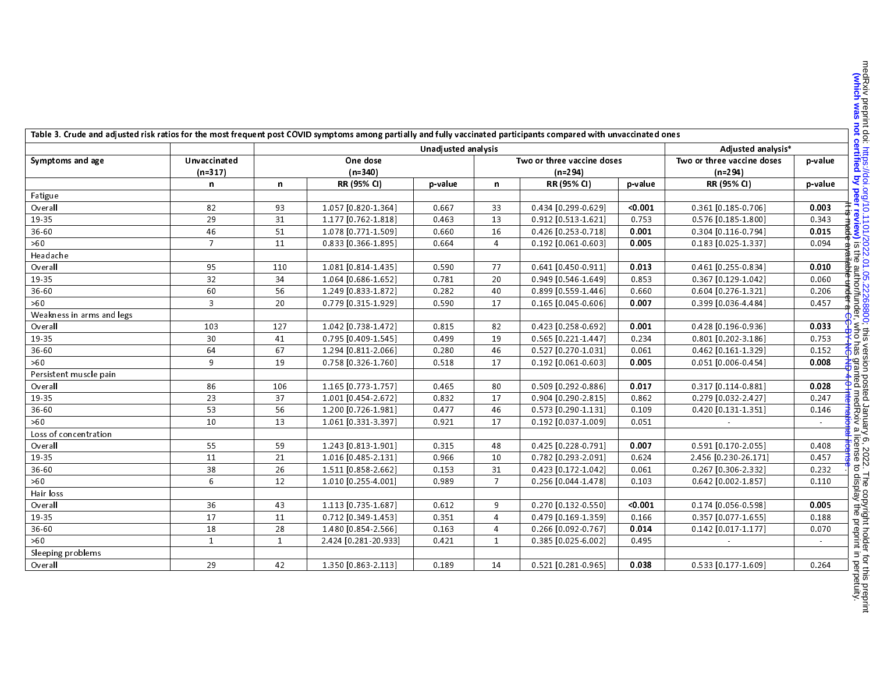| Table 3. Crude and adjusted risk ratios for the most frequent post COVID symptoms among partially and fully vaccinated participants compared with unvaccinated ones |                |                                        |                      |         |                |                            |                    |                       |         |
|---------------------------------------------------------------------------------------------------------------------------------------------------------------------|----------------|----------------------------------------|----------------------|---------|----------------|----------------------------|--------------------|-----------------------|---------|
|                                                                                                                                                                     |                | Unadjusted analysis                    |                      |         |                |                            | Adjusted analysis* |                       |         |
| Symptoms and age                                                                                                                                                    | Unvaccinated   | One dose<br>Two or three vaccine doses |                      |         |                | Two or three vaccine doses | p-value            |                       |         |
| $(n=317)$                                                                                                                                                           |                | $(n=340)$                              |                      |         | $(n=294)$      |                            | $(n=294)$          |                       |         |
|                                                                                                                                                                     | n              | n                                      | RR (95% CI)          | p value | n              | RR (95% CI)                | p-value            | RR (95% CI)           | p-value |
| Fatigue                                                                                                                                                             |                |                                        |                      |         |                |                            |                    |                       |         |
| Overall                                                                                                                                                             | 82             | 93                                     | 1.057 [0.820-1.364]  | 0.667   | 33             | 0.434 [0.299-0.629]        | 0.001              | $0.361$ [0.185-0.706] | 0.003   |
| 19-35                                                                                                                                                               | 29             | 31                                     | 1.177 [0.762-1.818]  | 0.463   | 13             | 0.912 [0.513-1.621]        | 0.753              | 0.576 [0.185-1.800]   | 0.343   |
| 36-60                                                                                                                                                               | 46             | 51                                     | 1.078 [0.771-1.509]  | 0.660   | 16             | 0.426 [0.253-0.718]        | 0.001              | $0.304$ [0.116-0.794] | 0.015   |
| >60                                                                                                                                                                 | $\overline{7}$ | 11                                     | 0.833 [0.366-1.895]  | 0.664   | $\overline{4}$ | $0.192$ [0.061-0.603]      | 0.005              | $0.183$ [0.025-1.337] | 0.094   |
| Headache                                                                                                                                                            |                |                                        |                      |         |                |                            |                    |                       |         |
| Overall                                                                                                                                                             | 95             | 110                                    | 1.081 [0.814-1.435]  | 0.590   | 77             | $0.641$ [0.450-0.911]      | 0.013              | 0.461 [0.255-0.834]   | 0.010   |
| 19-35                                                                                                                                                               | 32             | 34                                     | 1.064 [0.686-1.652]  | 0.781   | 20             | 0.949 [0.546-1.649]        | 0.853              | 0.367 [0.129-1.042]   | 0.060   |
| 36-60                                                                                                                                                               | 60             | 56                                     | 1.249 [0.833-1.872]  | 0.282   | 40             | 0.899 [0.559-1.446]        | 0.660              | 0.604 [0.276-1.321]   | 0.206   |
| >60                                                                                                                                                                 | 3              | 20                                     | 0.779 [0.315-1.929]  | 0.590   | 17             | $0.165$ [0.045-0.606]      | 0.007              | 0.399 [0.036-4.484]   | 0.457   |
| Weakness in arms and legs                                                                                                                                           |                |                                        |                      |         |                |                            |                    |                       |         |
| Overall                                                                                                                                                             | 103            | 127                                    | 1.042 [0.738-1.472]  | 0.815   | 82             | 0.423 [0.258-0.692]        | 0.001              | 0.428 [0.196-0.936]   | 0.033   |
| 19-35                                                                                                                                                               | 30             | 41                                     | 0.795 [0.409-1.545]  | 0.499   | 19             | $0.565$ [0.221-1.447]      | 0.234              | 0.801 [0.202-3.186]   | 0.753   |
| 36-60                                                                                                                                                               | 64             | 67                                     | 1.294 [0.811-2.066]  | 0.280   | 46             | 0.527 [0.270-1.031]        | 0.061              | $0.462$ [0.161-1.329] | 0.152   |
| >60                                                                                                                                                                 | 9              | 19                                     | 0.758 [0.326-1.760]  | 0.518   | 17             | $0.192$ [0.061-0.603]      | 0.005              | $0.051$ [0.006-0.454] | 0.008   |
| Persistent muscle pain                                                                                                                                              |                |                                        |                      |         |                |                            |                    |                       |         |
| Overall                                                                                                                                                             | 86             | 106                                    | 1.165 [0.773-1.757]  | 0.465   | 80             | 0.509 [0.292-0.886]        | 0.017              | $0.317$ [0.114-0.881] | 0.028   |
| 19-35                                                                                                                                                               | 23             | 37                                     | 1.001 [0.454-2.672]  | 0.832   | 17             | 0.904 [0.290-2.815]        | 0.862              | 0.279 [0.032-2.427]   | 0.247   |
| 36-60                                                                                                                                                               | 53             | 56                                     | 1.200 [0.726-1.981]  | 0.477   | 46             | 0.573 [0.290-1.131]        | 0.109              | 0.420 [0.131-1.351]   | 0.146   |
| >60                                                                                                                                                                 | 10             | 13                                     | 1.061 [0.331-3.397]  | 0.921   | 17             | 0.192 [0.037-1.009]        | 0.051              |                       | $\sim$  |
| Loss of concentration                                                                                                                                               |                |                                        |                      |         |                |                            |                    |                       |         |
| Overall                                                                                                                                                             | 55             | 59                                     | 1.243 [0.813-1.901]  | 0.315   | 48             | 0.425 [0.228-0.791]        | 0.007              | 0.591 [0.170-2.055]   | 0.408   |
| 19-35                                                                                                                                                               | 11             | 21                                     | 1.016 [0.485-2.131]  | 0.966   | 10             | 0.782 [0.293-2.091]        | 0.624              | 2.456 [0.230-26.171]  | 0.457   |
| 36-60                                                                                                                                                               | 38             | 26                                     | 1.511 [0.858-2.662]  | 0.153   | 31             | 0.423 [0.172-1.042]        | 0.061              | 0.267 [0.306-2.332]   | 0.232   |
| >60                                                                                                                                                                 | 6              | 12                                     | 1.010 [0.255-4.001]  | 0.989   | $\overline{7}$ | 0.256 [0.044-1.478]        | 0.103              | $0.642$ [0.002-1.857] | 0.110   |
| Hair loss                                                                                                                                                           |                |                                        |                      |         |                |                            |                    |                       |         |
| Overall                                                                                                                                                             | 36             | 43                                     | 1.113 [0.735-1.687]  | 0.612   | 9              | 0.270 [0.132-0.550]        | < 0.001            | $0.174$ [0.056-0.598] | 0.005   |
| 19-35                                                                                                                                                               | 17             | 11                                     | 0.712 [0.349-1.453]  | 0.351   | $\overline{4}$ | 0.479 [0.169-1.359]        | 0.166              | 0.357 [0.077-1.655]   | 0.188   |
| 36-60                                                                                                                                                               | 18             | 28                                     | 1.480 [0.854-2.566]  | 0.163   | 4              | 0.266 [0.092-0.767]        | 0.014              | $0.142$ [0.017-1.177] | 0.070   |
| >60                                                                                                                                                                 | $\mathbf{1}$   | $\mathbf{1}$                           | 2.424 [0.281-20.933] | 0.421   | $\mathbf{1}$   | $0.385$ [0.025-6.002]      | 0.495              |                       | $\sim$  |
| Sleeping problems                                                                                                                                                   |                |                                        |                      |         |                |                            |                    |                       |         |
| Overall                                                                                                                                                             | 29             | 42                                     | 1.350 [0.863-2.113]  | 0.189   | 14             | 0.521 [0.281-0.965]        | 0.038              | 0.533 [0.177-1.609]   | 0.264   |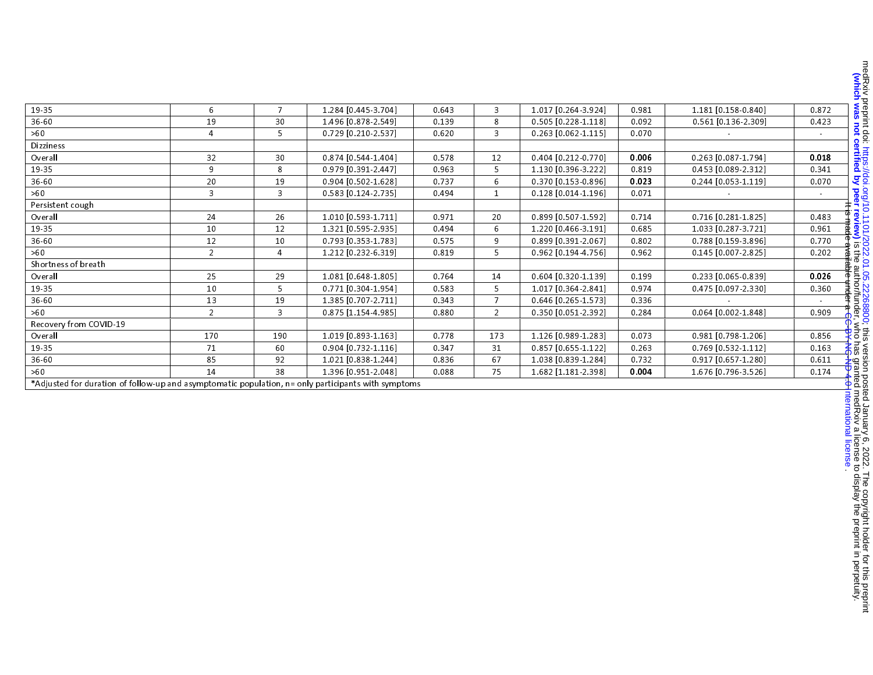| 19-35                                                                                               | 6              | $\overline{7}$ | 1.284 [0.445-3.704]   | 0.643 | $\overline{3}$ | 1.017 [0.264-3.924]   | 0.981 | 1.181 [0.158-0.840]   | 0.872           |
|-----------------------------------------------------------------------------------------------------|----------------|----------------|-----------------------|-------|----------------|-----------------------|-------|-----------------------|-----------------|
| 36-60                                                                                               | 19             | 30             | 1.496 [0.878-2.549]   | 0.139 | 8              | 0.505 [0.228-1.118]   | 0.092 | $0.561$ [0.136-2.309] | 0.423           |
| >60                                                                                                 | $\overline{4}$ | 5              | 0.729 [0.210-2.537]   | 0.620 | $\overline{3}$ | $0.263$ [0.062-1.115] | 0.070 |                       | $\pm$ .         |
| <b>Dizziness</b>                                                                                    |                |                |                       |       |                |                       |       |                       |                 |
| Overall                                                                                             | 32             | 30             | 0.874 [0.544-1.404]   | 0.578 | 12             | 0.404 [0.212-0.770]   | 0.006 | 0.263 [0.087-1.794]   | 0.018           |
| 19-35                                                                                               | 9              | 8              | 0.979 [0.391-2.447]   | 0.963 | 5              | 1.130 [0.396-3.222]   | 0.819 | 0.453 [0.089-2.312]   | 0.341           |
| 36-60                                                                                               | 20             | 19             | 0.904 [0.502-1.628]   | 0.737 | 6              | 0.370 [0.153-0.896]   | 0.023 | $0.244$ [0.053-1.119] | 0.070           |
| >60                                                                                                 | 3              | $\overline{3}$ | $0.583$ [0.124-2.735] | 0.494 | $\mathbf{1}$   | $0.128$ [0.014-1.196] | 0.071 |                       |                 |
| Persistent cough                                                                                    |                |                |                       |       |                |                       |       |                       |                 |
| Overall                                                                                             | 24             | 26             | 1.010 [0.593-1.711]   | 0.971 | 20             | 0.899 [0.507-1.592]   | 0.714 | $0.716$ [0.281-1.825] | 0.483           |
| 19-35                                                                                               | 10             | 12             | 1.321 [0.595-2.935]   | 0.494 | 6              | 1.220 [0.466-3.191]   | 0.685 | 1.033 [0.287-3.721]   | 0.961           |
| 36-60                                                                                               | 12             | 10             | 0.793 [0.353-1.783]   | 0.575 | 9              | 0.899 [0.391-2.067]   | 0.802 | 0.788 [0.159-3.896]   | 0.770           |
| >60                                                                                                 | $\overline{2}$ | $\overline{4}$ | 1.212 [0.232-6.319]   | 0.819 | 5.             | $0.962$ [0.194-4.756] | 0.962 | 0.145 [0.007-2.825]   | 0.202           |
| Shortness of breath                                                                                 |                |                |                       |       |                |                       |       |                       |                 |
| Overall                                                                                             | 25             | 29             | 1.081 [0.648-1.805]   | 0.764 | 14             | $0.604$ [0.320-1.139] | 0.199 | 0.233 [0.065-0.839]   | 0.026           |
| 19-35                                                                                               | 10             | 5              | $0.771$ [0.304-1.954] | 0.583 | 5              | 1.017 [0.364-2.841]   | 0.974 | 0.475 [0.097-2.330]   | 0.360           |
| 36-60                                                                                               | 13             | 19             | 1.385 [0.707-2.711]   | 0.343 | $\overline{7}$ | 0.646 [0.265-1.573]   | 0.336 |                       |                 |
| >60                                                                                                 | $2^{\circ}$    | $\overline{3}$ | 0.875 [1.154-4.985]   | 0.880 | $\overline{2}$ | 0.350 [0.051-2.392]   | 0.284 | 0.064 [0.002-1.848]   | 0.909           |
| Recovery from COVID-19                                                                              |                |                |                       |       |                |                       |       |                       |                 |
| Overall                                                                                             | 170            | 190            | 1.019 [0.893-1.163]   | 0.778 | 173            | 1.126 [0.989-1.283]   | 0.073 | 0.981 [0.798-1.206]   | 0.856           |
| 19-35                                                                                               | 71             | 60             | 0.904 [0.732-1.116]   | 0.347 | 31             | $0.857$ [0.655-1.122] | 0.263 | 0.769 [0.532-1.112]   | 0.163           |
| 36-60                                                                                               | 85             | 92             | 1.021 [0.838-1.244]   | 0.836 | 67             | 1.038 [0.839-1.284]   | 0.732 | 0.917 [0.657-1.280]   | 0.611           |
| >60                                                                                                 | 14             | 38             | 1.396 [0.951-2.048]   | 0.088 | 75             | 1.682 [1.181 2.398]   | 0.004 | 1.676 [0.796-3.526]   | 0.174           |
| *Adjusted for duration of follow-up and asymptomatic population, n= only participants with symptoms |                |                |                       |       |                |                       |       |                       |                 |
|                                                                                                     |                |                |                       |       |                |                       |       |                       |                 |
|                                                                                                     |                |                |                       |       |                |                       |       |                       |                 |
|                                                                                                     |                |                |                       |       |                |                       |       |                       |                 |
|                                                                                                     |                |                |                       |       |                |                       |       |                       |                 |
|                                                                                                     |                |                |                       |       |                |                       |       |                       |                 |
|                                                                                                     |                |                |                       |       |                |                       |       |                       | ational license |
|                                                                                                     |                |                |                       |       |                |                       |       |                       |                 |

who has granted by perface to display the author/funder, who has granted medRxix a license to display the preprint in perpetuity. The copyright holder for this preprint that holder for this presence of this version posted January 6, 2022. The copyright holder for this preprint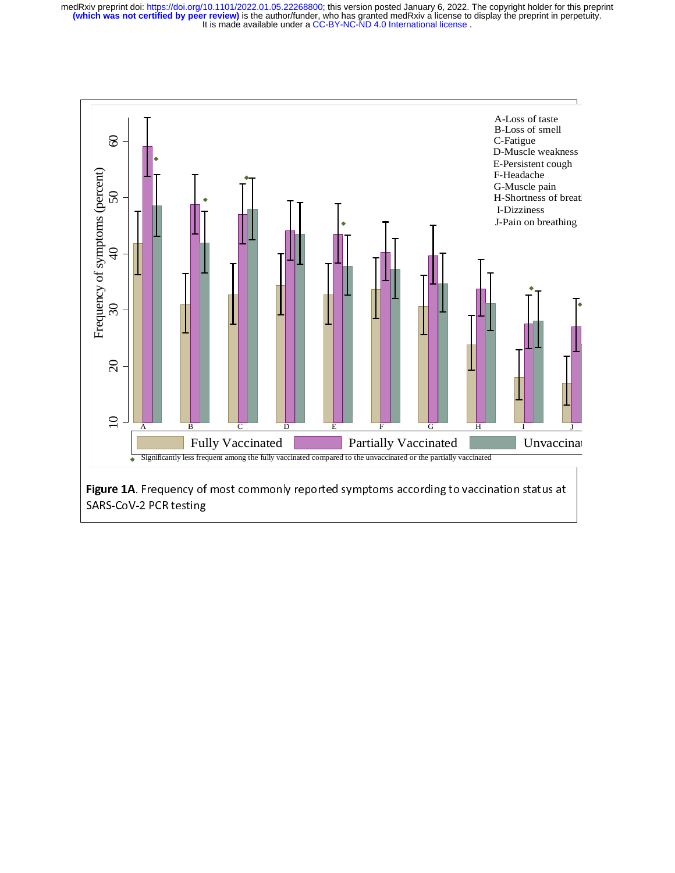